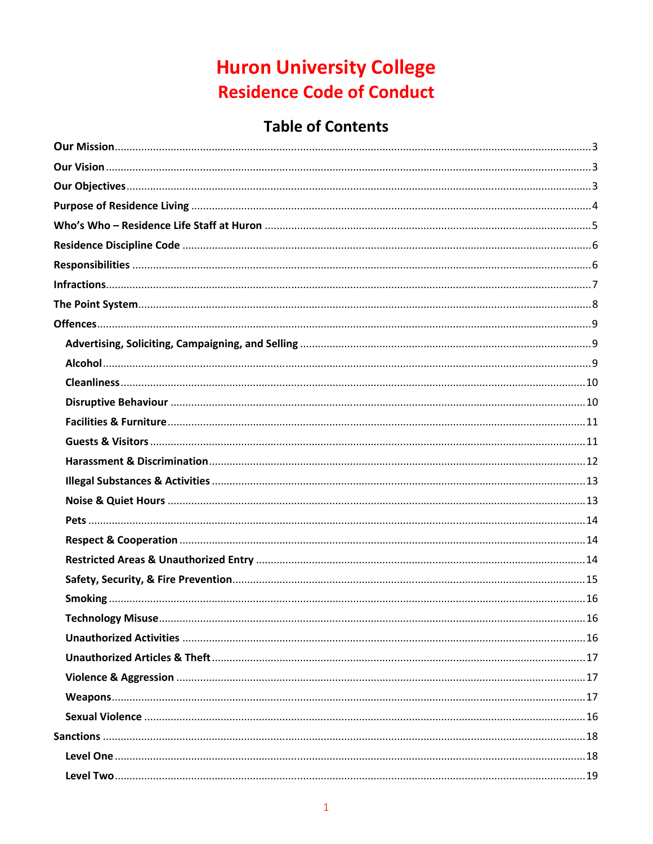# **Huron University College Residence Code of Conduct**

# **Table of Contents**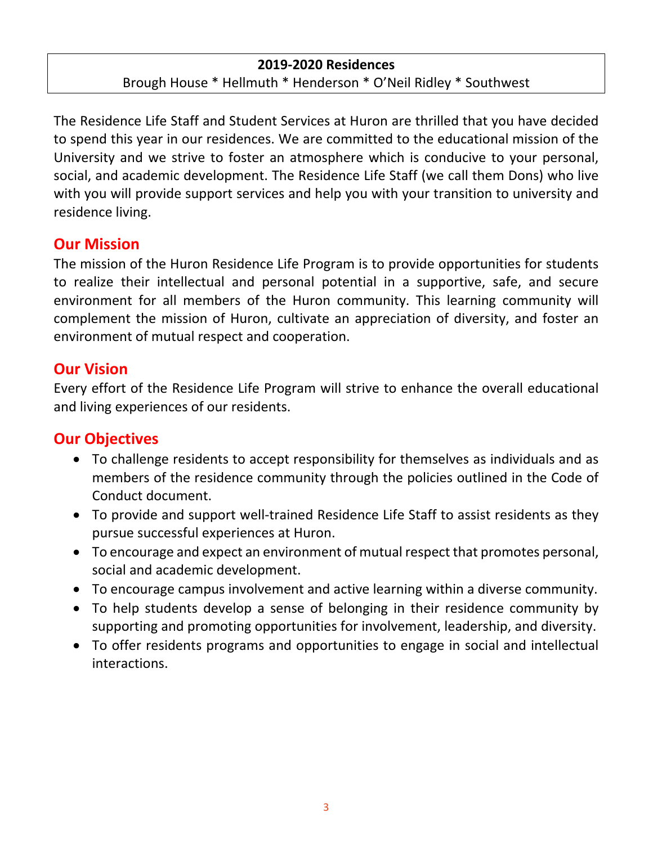#### **2019‐2020 Residences**

Brough House \* Hellmuth \* Henderson \* O'Neil Ridley \* Southwest

The Residence Life Staff and Student Services at Huron are thrilled that you have decided to spend this year in our residences. We are committed to the educational mission of the University and we strive to foster an atmosphere which is conducive to your personal, social, and academic development. The Residence Life Staff (we call them Dons) who live with you will provide support services and help you with your transition to university and residence living.

## **Our Mission**

The mission of the Huron Residence Life Program is to provide opportunities for students to realize their intellectual and personal potential in a supportive, safe, and secure environment for all members of the Huron community. This learning community will complement the mission of Huron, cultivate an appreciation of diversity, and foster an environment of mutual respect and cooperation.

## **Our Vision**

Every effort of the Residence Life Program will strive to enhance the overall educational and living experiences of our residents.

# **Our Objectives**

- To challenge residents to accept responsibility for themselves as individuals and as members of the residence community through the policies outlined in the Code of Conduct document.
- To provide and support well-trained Residence Life Staff to assist residents as they pursue successful experiences at Huron.
- To encourage and expect an environment of mutual respect that promotes personal, social and academic development.
- To encourage campus involvement and active learning within a diverse community.
- To help students develop a sense of belonging in their residence community by supporting and promoting opportunities for involvement, leadership, and diversity.
- To offer residents programs and opportunities to engage in social and intellectual interactions.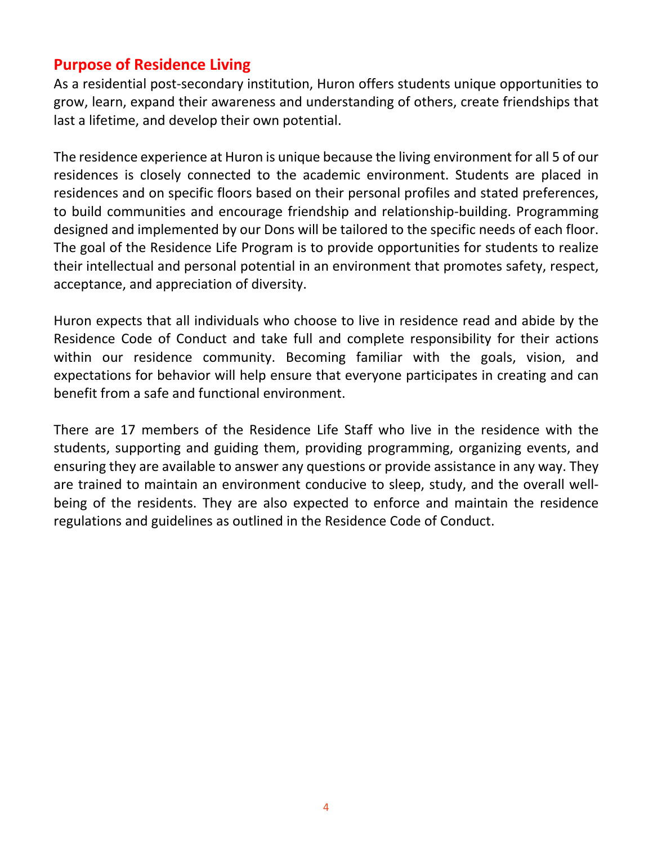# **Purpose of Residence Living**

As a residential post‐secondary institution, Huron offers students unique opportunities to grow, learn, expand their awareness and understanding of others, create friendships that last a lifetime, and develop their own potential.

The residence experience at Huron is unique because the living environment for all 5 of our residences is closely connected to the academic environment. Students are placed in residences and on specific floors based on their personal profiles and stated preferences, to build communities and encourage friendship and relationship‐building. Programming designed and implemented by our Dons will be tailored to the specific needs of each floor. The goal of the Residence Life Program is to provide opportunities for students to realize their intellectual and personal potential in an environment that promotes safety, respect, acceptance, and appreciation of diversity.

Huron expects that all individuals who choose to live in residence read and abide by the Residence Code of Conduct and take full and complete responsibility for their actions within our residence community. Becoming familiar with the goals, vision, and expectations for behavior will help ensure that everyone participates in creating and can benefit from a safe and functional environment.

There are 17 members of the Residence Life Staff who live in the residence with the students, supporting and guiding them, providing programming, organizing events, and ensuring they are available to answer any questions or provide assistance in any way. They are trained to maintain an environment conducive to sleep, study, and the overall wellbeing of the residents. They are also expected to enforce and maintain the residence regulations and guidelines as outlined in the Residence Code of Conduct.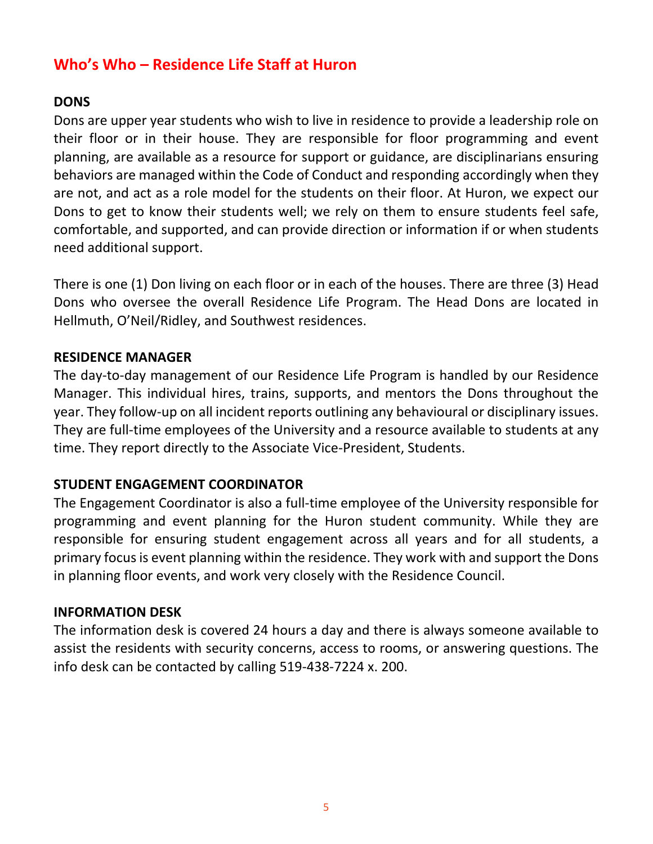# **Who's Who – Residence Life Staff at Huron**

#### **DONS**

Dons are upper year students who wish to live in residence to provide a leadership role on their floor or in their house. They are responsible for floor programming and event planning, are available as a resource for support or guidance, are disciplinarians ensuring behaviors are managed within the Code of Conduct and responding accordingly when they are not, and act as a role model for the students on their floor. At Huron, we expect our Dons to get to know their students well; we rely on them to ensure students feel safe, comfortable, and supported, and can provide direction or information if or when students need additional support.

There is one (1) Don living on each floor or in each of the houses. There are three (3) Head Dons who oversee the overall Residence Life Program. The Head Dons are located in Hellmuth, O'Neil/Ridley, and Southwest residences.

#### **RESIDENCE MANAGER**

The day-to-day management of our Residence Life Program is handled by our Residence Manager. This individual hires, trains, supports, and mentors the Dons throughout the year. They follow‐up on all incident reports outlining any behavioural or disciplinary issues. They are full-time employees of the University and a resource available to students at any time. They report directly to the Associate Vice‐President, Students.

#### **STUDENT ENGAGEMENT COORDINATOR**

The Engagement Coordinator is also a full‐time employee of the University responsible for programming and event planning for the Huron student community. While they are responsible for ensuring student engagement across all years and for all students, a primary focus is event planning within the residence. They work with and support the Dons in planning floor events, and work very closely with the Residence Council.

#### **INFORMATION DESK**

The information desk is covered 24 hours a day and there is always someone available to assist the residents with security concerns, access to rooms, or answering questions. The info desk can be contacted by calling 519‐438‐7224 x. 200.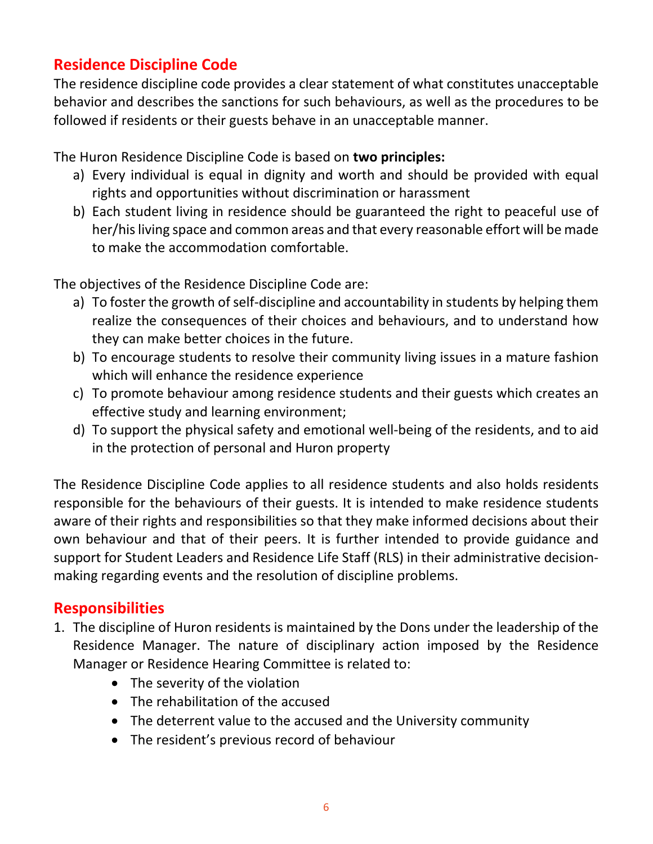# **Residence Discipline Code**

The residence discipline code provides a clear statement of what constitutes unacceptable behavior and describes the sanctions for such behaviours, as well as the procedures to be followed if residents or their guests behave in an unacceptable manner.

The Huron Residence Discipline Code is based on **two principles:**

- a) Every individual is equal in dignity and worth and should be provided with equal rights and opportunities without discrimination or harassment
- b) Each student living in residence should be guaranteed the right to peaceful use of her/his living space and common areas and that every reasonable effort will be made to make the accommodation comfortable.

The objectives of the Residence Discipline Code are:

- a) To foster the growth of self-discipline and accountability in students by helping them realize the consequences of their choices and behaviours, and to understand how they can make better choices in the future.
- b) To encourage students to resolve their community living issues in a mature fashion which will enhance the residence experience
- c) To promote behaviour among residence students and their guests which creates an effective study and learning environment;
- d) To support the physical safety and emotional well‐being of the residents, and to aid in the protection of personal and Huron property

The Residence Discipline Code applies to all residence students and also holds residents responsible for the behaviours of their guests. It is intended to make residence students aware of their rights and responsibilities so that they make informed decisions about their own behaviour and that of their peers. It is further intended to provide guidance and support for Student Leaders and Residence Life Staff (RLS) in their administrative decision‐ making regarding events and the resolution of discipline problems.

# **Responsibilities**

- 1. The discipline of Huron residents is maintained by the Dons under the leadership of the Residence Manager. The nature of disciplinary action imposed by the Residence Manager or Residence Hearing Committee is related to:
	- The severity of the violation
	- The rehabilitation of the accused
	- The deterrent value to the accused and the University community
	- The resident's previous record of behaviour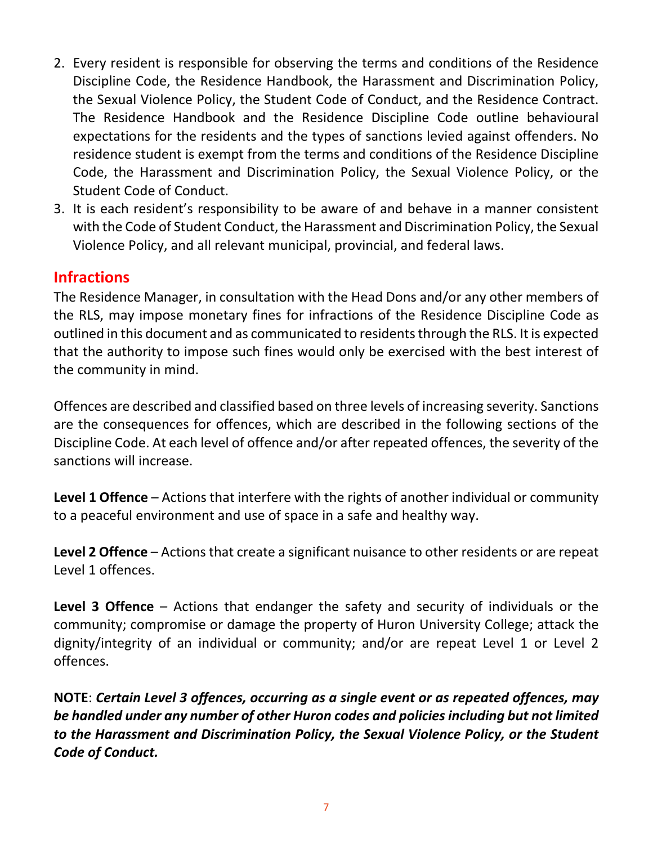- 2. Every resident is responsible for observing the terms and conditions of the Residence Discipline Code, the Residence Handbook, the Harassment and Discrimination Policy, the Sexual Violence Policy, the Student Code of Conduct, and the Residence Contract. The Residence Handbook and the Residence Discipline Code outline behavioural expectations for the residents and the types of sanctions levied against offenders. No residence student is exempt from the terms and conditions of the Residence Discipline Code, the Harassment and Discrimination Policy, the Sexual Violence Policy, or the Student Code of Conduct.
- 3. It is each resident's responsibility to be aware of and behave in a manner consistent with the Code of Student Conduct, the Harassment and Discrimination Policy, the Sexual Violence Policy, and all relevant municipal, provincial, and federal laws.

## **Infractions**

The Residence Manager, in consultation with the Head Dons and/or any other members of the RLS, may impose monetary fines for infractions of the Residence Discipline Code as outlined in this document and as communicated to residents through the RLS. It is expected that the authority to impose such fines would only be exercised with the best interest of the community in mind.

Offences are described and classified based on three levels of increasing severity. Sanctions are the consequences for offences, which are described in the following sections of the Discipline Code. At each level of offence and/or after repeated offences, the severity of the sanctions will increase.

**Level 1 Offence** – Actions that interfere with the rights of another individual or community to a peaceful environment and use of space in a safe and healthy way.

**Level 2 Offence** – Actions that create a significant nuisance to other residents or are repeat Level 1 offences.

**Level 3 Offence** – Actions that endanger the safety and security of individuals or the community; compromise or damage the property of Huron University College; attack the dignity/integrity of an individual or community; and/or are repeat Level 1 or Level 2 offences.

**NOTE**: *Certain Level 3 offences, occurring as a single event or as repeated offences, may be handled under any number of other Huron codes and policies including but not limited to the Harassment and Discrimination Policy, the Sexual Violence Policy, or the Student Code of Conduct.*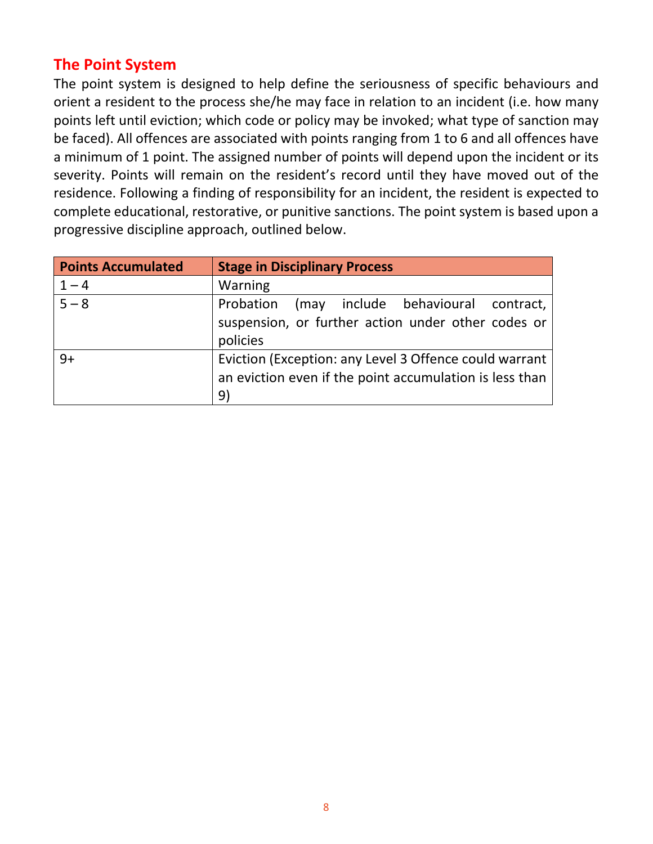# **The Point System**

The point system is designed to help define the seriousness of specific behaviours and orient a resident to the process she/he may face in relation to an incident (i.e. how many points left until eviction; which code or policy may be invoked; what type of sanction may be faced). All offences are associated with points ranging from 1 to 6 and all offences have a minimum of 1 point. The assigned number of points will depend upon the incident or its severity. Points will remain on the resident's record until they have moved out of the residence. Following a finding of responsibility for an incident, the resident is expected to complete educational, restorative, or punitive sanctions. The point system is based upon a progressive discipline approach, outlined below.

| <b>Points Accumulated</b> | <b>Stage in Disciplinary Process</b>                                                                                    |
|---------------------------|-------------------------------------------------------------------------------------------------------------------------|
| $1 - 4$                   | Warning                                                                                                                 |
| $5 - 8$                   | Probation<br>(may include behavioural contract,<br>suspension, or further action under other codes or<br>policies       |
| $9+$                      | Eviction (Exception: any Level 3 Offence could warrant<br>an eviction even if the point accumulation is less than<br>9) |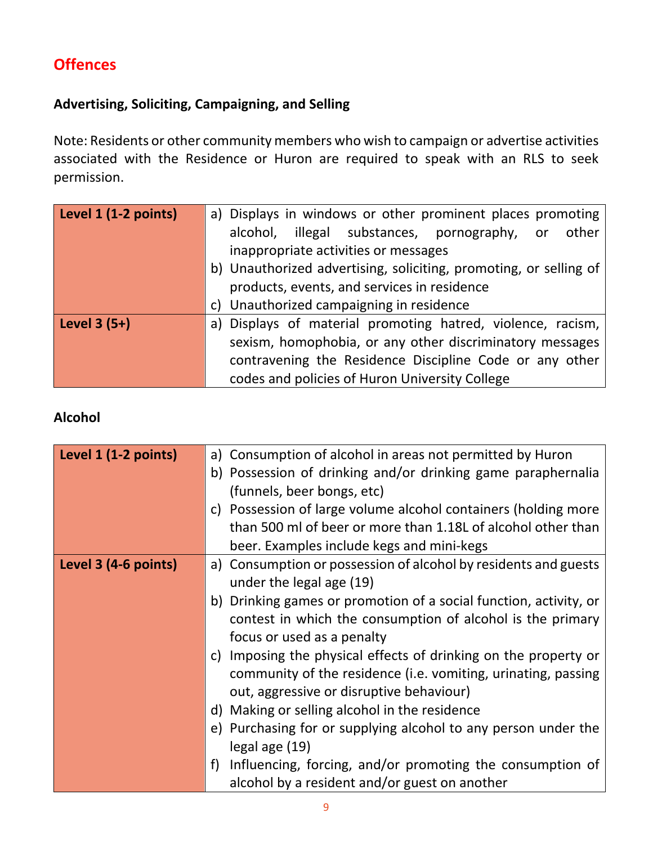# **Offences**

## **Advertising, Soliciting, Campaigning, and Selling**

Note: Residents or other community members who wish to campaign or advertise activities associated with the Residence or Huron are required to speak with an RLS to seek permission.

| Level 1 (1-2 points) | a) Displays in windows or other prominent places promoting        |
|----------------------|-------------------------------------------------------------------|
|                      | illegal substances, pornography, or other<br>alcohol,             |
|                      | inappropriate activities or messages                              |
|                      | b) Unauthorized advertising, soliciting, promoting, or selling of |
|                      | products, events, and services in residence                       |
|                      | c) Unauthorized campaigning in residence                          |
| Level $3(5+)$        | a) Displays of material promoting hatred, violence, racism,       |
|                      | sexism, homophobia, or any other discriminatory messages          |
|                      | contravening the Residence Discipline Code or any other           |
|                      | codes and policies of Huron University College                    |

## **Alcohol**

| Level 1 (1-2 points) | a) Consumption of alcohol in areas not permitted by Huron         |
|----------------------|-------------------------------------------------------------------|
|                      | b) Possession of drinking and/or drinking game paraphernalia      |
|                      | (funnels, beer bongs, etc)                                        |
|                      | c) Possession of large volume alcohol containers (holding more    |
|                      | than 500 ml of beer or more than 1.18L of alcohol other than      |
|                      | beer. Examples include kegs and mini-kegs                         |
| Level 3 (4-6 points) | a) Consumption or possession of alcohol by residents and guests   |
|                      | under the legal age (19)                                          |
|                      | b) Drinking games or promotion of a social function, activity, or |
|                      | contest in which the consumption of alcohol is the primary        |
|                      | focus or used as a penalty                                        |
|                      | c) Imposing the physical effects of drinking on the property or   |
|                      | community of the residence (i.e. vomiting, urinating, passing     |
|                      | out, aggressive or disruptive behaviour)                          |
|                      | d) Making or selling alcohol in the residence                     |
|                      | e) Purchasing for or supplying alcohol to any person under the    |
|                      | legal age (19)                                                    |
|                      | Influencing, forcing, and/or promoting the consumption of<br>f)   |
|                      | alcohol by a resident and/or guest on another                     |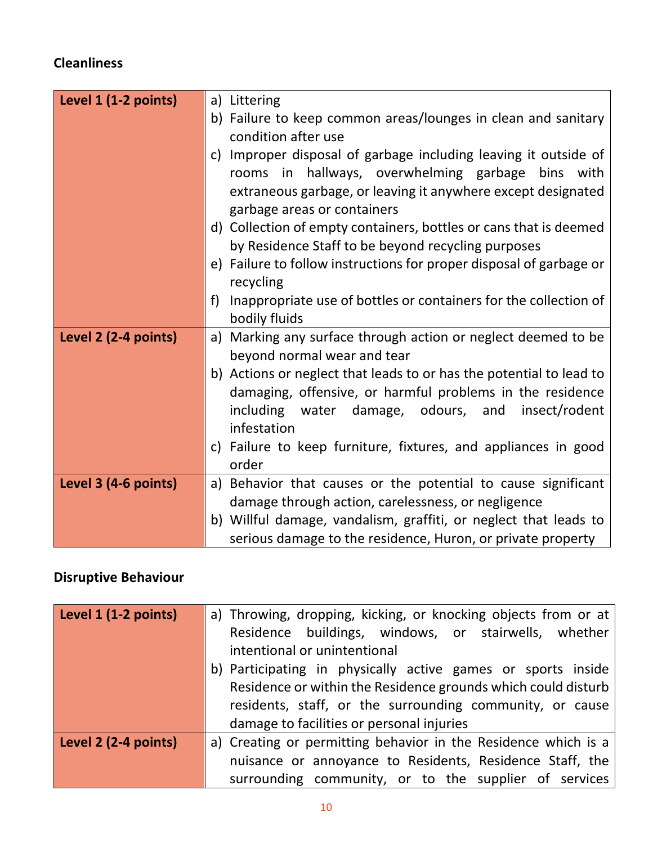# **Cleanliness**

| Level 1 (1-2 points) | a) Littering                                                          |
|----------------------|-----------------------------------------------------------------------|
|                      | b) Failure to keep common areas/lounges in clean and sanitary         |
|                      | condition after use                                                   |
|                      | c) Improper disposal of garbage including leaving it outside of       |
|                      | rooms in hallways, overwhelming garbage bins with                     |
|                      | extraneous garbage, or leaving it anywhere except designated          |
|                      | garbage areas or containers                                           |
|                      | d) Collection of empty containers, bottles or cans that is deemed     |
|                      | by Residence Staff to be beyond recycling purposes                    |
|                      | e) Failure to follow instructions for proper disposal of garbage or   |
|                      | recycling                                                             |
|                      | Inappropriate use of bottles or containers for the collection of<br>f |
|                      | bodily fluids                                                         |
| Level 2 (2-4 points) | a) Marking any surface through action or neglect deemed to be         |
|                      | beyond normal wear and tear                                           |
|                      | b) Actions or neglect that leads to or has the potential to lead to   |
|                      | damaging, offensive, or harmful problems in the residence             |
|                      | including<br>water damage, odours, and<br>insect/rodent               |
|                      | infestation                                                           |
|                      | c) Failure to keep furniture, fixtures, and appliances in good        |
|                      | order                                                                 |
| Level 3 (4-6 points) | a) Behavior that causes or the potential to cause significant         |
|                      | damage through action, carelessness, or negligence                    |
|                      | b) Willful damage, vandalism, graffiti, or neglect that leads to      |
|                      | serious damage to the residence, Huron, or private property           |

# **Disruptive Behaviour**

| Level 1 (1-2 points) | a) Throwing, dropping, kicking, or knocking objects from or at                       |
|----------------------|--------------------------------------------------------------------------------------|
|                      | Residence buildings, windows, or stairwells, whether<br>intentional or unintentional |
|                      |                                                                                      |
|                      | b) Participating in physically active games or sports inside                         |
|                      | Residence or within the Residence grounds which could disturb                        |
|                      | residents, staff, or the surrounding community, or cause                             |
|                      | damage to facilities or personal injuries                                            |
| Level 2 (2-4 points) | a) Creating or permitting behavior in the Residence which is a                       |
|                      | nuisance or annoyance to Residents, Residence Staff, the                             |
|                      | surrounding community, or to the supplier of services                                |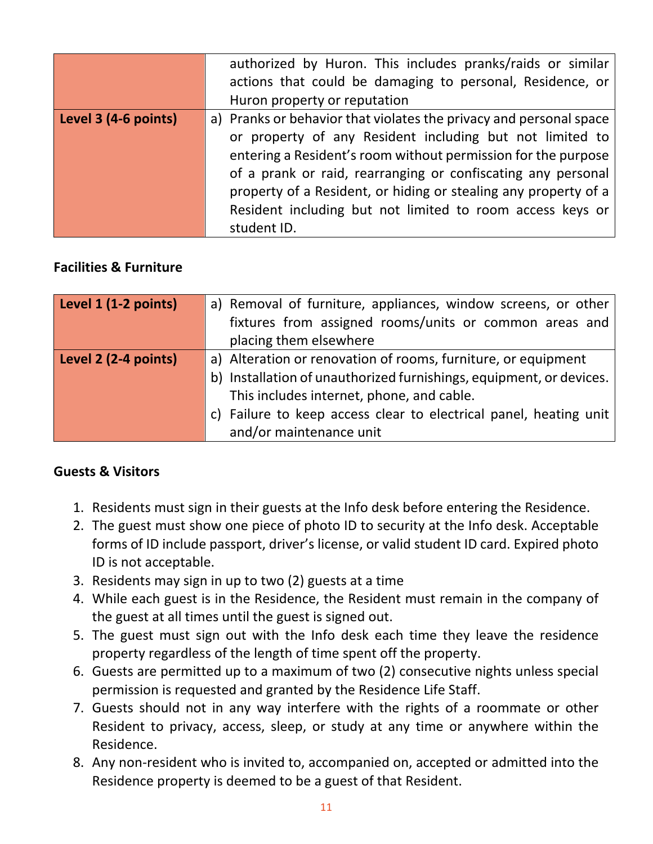|                      | authorized by Huron. This includes pranks/raids or similar<br>actions that could be damaging to personal, Residence, or<br>Huron property or reputation                                                                                                                                                                                                                                                        |
|----------------------|----------------------------------------------------------------------------------------------------------------------------------------------------------------------------------------------------------------------------------------------------------------------------------------------------------------------------------------------------------------------------------------------------------------|
| Level 3 (4-6 points) | a) Pranks or behavior that violates the privacy and personal space<br>or property of any Resident including but not limited to<br>entering a Resident's room without permission for the purpose<br>of a prank or raid, rearranging or confiscating any personal<br>property of a Resident, or hiding or stealing any property of a<br>Resident including but not limited to room access keys or<br>student ID. |

### **Facilities & Furniture**

| Level 1 (1-2 points) | a) Removal of furniture, appliances, window screens, or other       |
|----------------------|---------------------------------------------------------------------|
|                      | fixtures from assigned rooms/units or common areas and              |
|                      | placing them elsewhere                                              |
| Level 2 (2-4 points) | a) Alteration or renovation of rooms, furniture, or equipment       |
|                      | b) Installation of unauthorized furnishings, equipment, or devices. |
|                      | This includes internet, phone, and cable.                           |
|                      | c) Failure to keep access clear to electrical panel, heating unit   |
|                      | and/or maintenance unit                                             |

#### **Guests & Visitors**

- 1. Residents must sign in their guests at the Info desk before entering the Residence.
- 2. The guest must show one piece of photo ID to security at the Info desk. Acceptable forms of ID include passport, driver's license, or valid student ID card. Expired photo ID is not acceptable.
- 3. Residents may sign in up to two (2) guests at a time
- 4. While each guest is in the Residence, the Resident must remain in the company of the guest at all times until the guest is signed out.
- 5. The guest must sign out with the Info desk each time they leave the residence property regardless of the length of time spent off the property.
- 6. Guests are permitted up to a maximum of two (2) consecutive nights unless special permission is requested and granted by the Residence Life Staff.
- 7. Guests should not in any way interfere with the rights of a roommate or other Resident to privacy, access, sleep, or study at any time or anywhere within the Residence.
- 8. Any non‐resident who is invited to, accompanied on, accepted or admitted into the Residence property is deemed to be a guest of that Resident.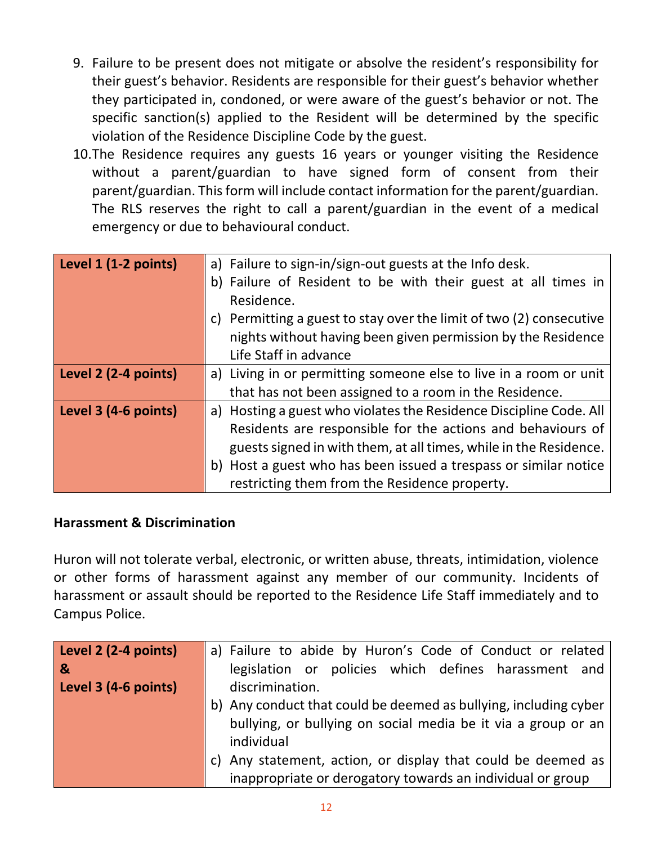- 9. Failure to be present does not mitigate or absolve the resident's responsibility for their guest's behavior. Residents are responsible for their guest's behavior whether they participated in, condoned, or were aware of the guest's behavior or not. The specific sanction(s) applied to the Resident will be determined by the specific violation of the Residence Discipline Code by the guest.
- 10.The Residence requires any guests 16 years or younger visiting the Residence without a parent/guardian to have signed form of consent from their parent/guardian. This form will include contact information for the parent/guardian. The RLS reserves the right to call a parent/guardian in the event of a medical emergency or due to behavioural conduct.

| Level 1 (1-2 points) | a) Failure to sign-in/sign-out guests at the Info desk.             |
|----------------------|---------------------------------------------------------------------|
|                      | b) Failure of Resident to be with their guest at all times in       |
|                      | Residence.                                                          |
|                      | c) Permitting a guest to stay over the limit of two (2) consecutive |
|                      | nights without having been given permission by the Residence        |
|                      | Life Staff in advance                                               |
| Level 2 (2-4 points) | a) Living in or permitting someone else to live in a room or unit   |
|                      | that has not been assigned to a room in the Residence.              |
| Level 3 (4-6 points) | a) Hosting a guest who violates the Residence Discipline Code. All  |
|                      | Residents are responsible for the actions and behaviours of         |
|                      | guests signed in with them, at all times, while in the Residence.   |
|                      | b) Host a guest who has been issued a trespass or similar notice    |
|                      | restricting them from the Residence property.                       |

#### **Harassment & Discrimination**

Huron will not tolerate verbal, electronic, or written abuse, threats, intimidation, violence or other forms of harassment against any member of our community. Incidents of harassment or assault should be reported to the Residence Life Staff immediately and to Campus Police.

| Level 2 (2-4 points) | a) Failure to abide by Huron's Code of Conduct or related                                                                  |
|----------------------|----------------------------------------------------------------------------------------------------------------------------|
| ୍ୟ                   | legislation or policies which defines harassment and                                                                       |
| Level 3 (4-6 points) | discrimination.                                                                                                            |
|                      | b) Any conduct that could be deemed as bullying, including cyber                                                           |
|                      | bullying, or bullying on social media be it via a group or an<br>individual                                                |
|                      | c) Any statement, action, or display that could be deemed as<br>inappropriate or derogatory towards an individual or group |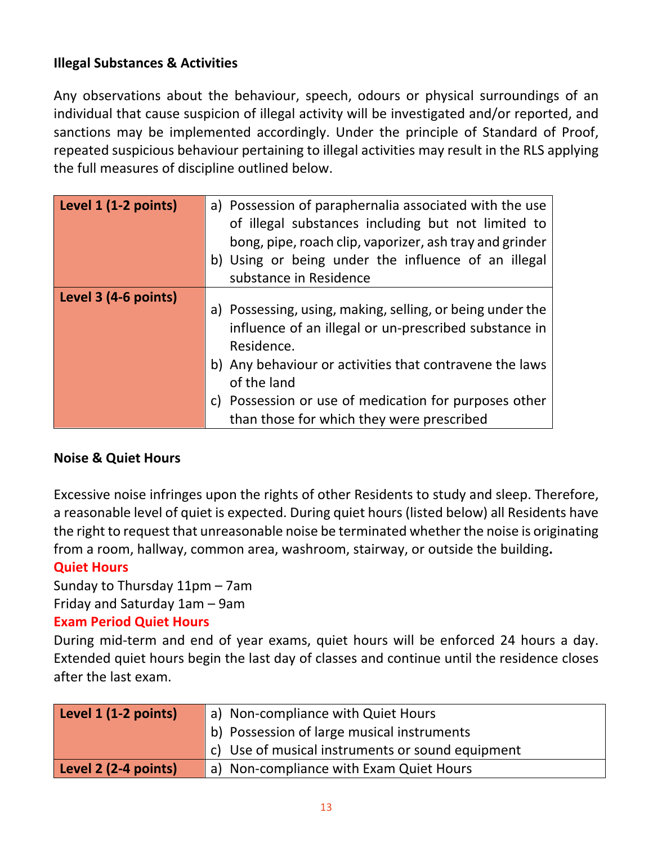## **Illegal Substances & Activities**

Any observations about the behaviour, speech, odours or physical surroundings of an individual that cause suspicion of illegal activity will be investigated and/or reported, and sanctions may be implemented accordingly. Under the principle of Standard of Proof, repeated suspicious behaviour pertaining to illegal activities may result in the RLS applying the full measures of discipline outlined below.

| Level 1 (1-2 points) | a) Possession of paraphernalia associated with the use<br>of illegal substances including but not limited to<br>bong, pipe, roach clip, vaporizer, ash tray and grinder<br>b) Using or being under the influence of an illegal<br>substance in Residence                                                         |
|----------------------|------------------------------------------------------------------------------------------------------------------------------------------------------------------------------------------------------------------------------------------------------------------------------------------------------------------|
| Level 3 (4-6 points) | a) Possessing, using, making, selling, or being under the<br>influence of an illegal or un-prescribed substance in<br>Residence.<br>b) Any behaviour or activities that contravene the laws<br>of the land<br>c) Possession or use of medication for purposes other<br>than those for which they were prescribed |

## **Noise & Quiet Hours**

Excessive noise infringes upon the rights of other Residents to study and sleep. Therefore, a reasonable level of quiet is expected. During quiet hours (listed below) all Residents have the right to request that unreasonable noise be terminated whether the noise is originating from a room, hallway, common area, washroom, stairway, or outside the building**.** 

#### **Quiet Hours**

Sunday to Thursday 11pm – 7am

Friday and Saturday 1am – 9am

#### **Exam Period Quiet Hours**

During mid-term and end of year exams, quiet hours will be enforced 24 hours a day. Extended quiet hours begin the last day of classes and continue until the residence closes after the last exam.

| Level $1$ (1-2 points) | a) Non-compliance with Quiet Hours                            |
|------------------------|---------------------------------------------------------------|
|                        | b) Possession of large musical instruments                    |
|                        | $\vert c \vert$ Use of musical instruments or sound equipment |
| Level 2 (2-4 points)   | a) Non-compliance with Exam Quiet Hours                       |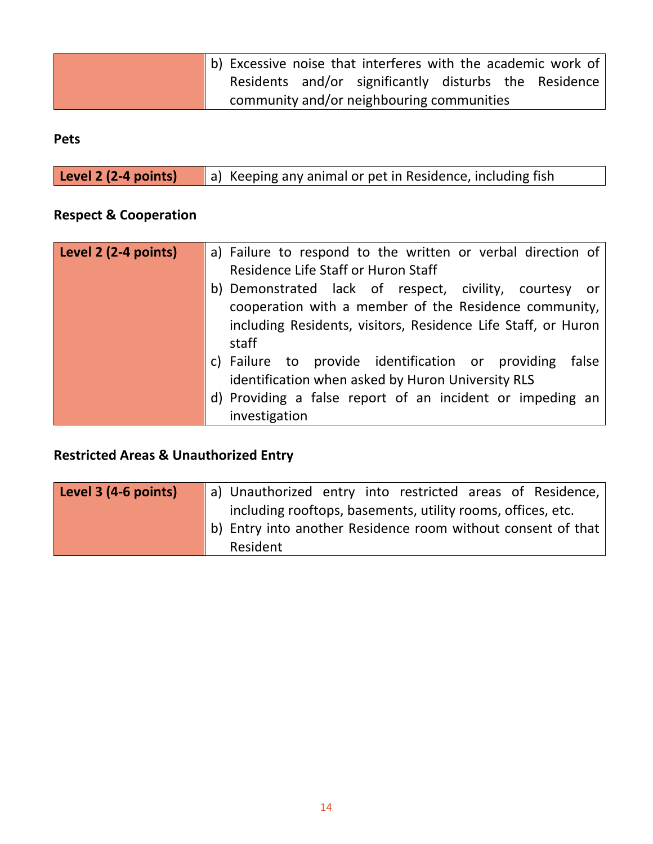| b) Excessive noise that interferes with the academic work of |                                                       |  |  |
|--------------------------------------------------------------|-------------------------------------------------------|--|--|
|                                                              | Residents and/or significantly disturbs the Residence |  |  |
|                                                              | community and/or neighbouring communities             |  |  |

## **Pets**

| Level 2 (2-4 points) | a) Keeping any animal or pet in Residence, including fish |
|----------------------|-----------------------------------------------------------|
|                      |                                                           |

# **Respect & Cooperation**

| Level 2 (2-4 points) | a) Failure to respond to the written or verbal direction of<br>Residence Life Staff or Huron Staff                                                                                            |
|----------------------|-----------------------------------------------------------------------------------------------------------------------------------------------------------------------------------------------|
|                      | b) Demonstrated lack of respect, civility, courtesy or<br>cooperation with a member of the Residence community,<br>including Residents, visitors, Residence Life Staff, or Huron<br>staff     |
|                      | c) Failure to provide identification or providing<br>false<br>identification when asked by Huron University RLS<br>d) Providing a false report of an incident or impeding an<br>investigation |

#### **Restricted Areas & Unauthorized Entry**

| Level 3 (4-6 points) | a) Unauthorized entry into restricted areas of Residence,        |
|----------------------|------------------------------------------------------------------|
|                      | including rooftops, basements, utility rooms, offices, etc.      |
|                      | b) Entry into another Residence room without consent of that $ $ |
|                      | Resident                                                         |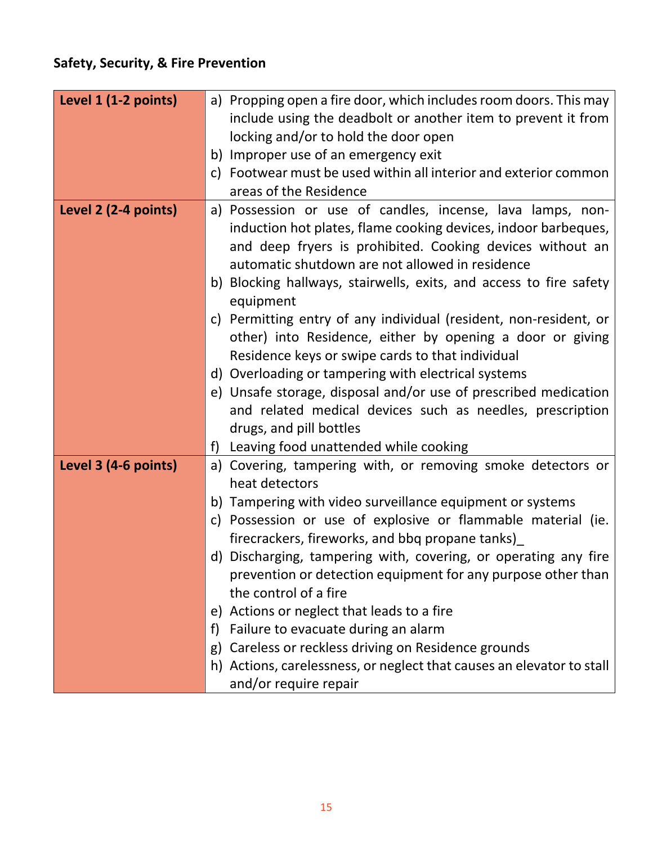# **Safety, Security, & Fire Prevention**

| Level 1 (1-2 points) | a) Propping open a fire door, which includes room doors. This may<br>include using the deadbolt or another item to prevent it from |
|----------------------|------------------------------------------------------------------------------------------------------------------------------------|
|                      | locking and/or to hold the door open                                                                                               |
|                      | b) Improper use of an emergency exit                                                                                               |
|                      | c) Footwear must be used within all interior and exterior common                                                                   |
|                      | areas of the Residence                                                                                                             |
| Level 2 (2-4 points) | a) Possession or use of candles, incense, lava lamps, non-                                                                         |
|                      | induction hot plates, flame cooking devices, indoor barbeques,                                                                     |
|                      | and deep fryers is prohibited. Cooking devices without an                                                                          |
|                      | automatic shutdown are not allowed in residence                                                                                    |
|                      | b) Blocking hallways, stairwells, exits, and access to fire safety                                                                 |
|                      | equipment                                                                                                                          |
|                      | c) Permitting entry of any individual (resident, non-resident, or                                                                  |
|                      | other) into Residence, either by opening a door or giving                                                                          |
|                      | Residence keys or swipe cards to that individual                                                                                   |
|                      | d) Overloading or tampering with electrical systems                                                                                |
|                      | e) Unsafe storage, disposal and/or use of prescribed medication                                                                    |
|                      | and related medical devices such as needles, prescription                                                                          |
|                      | drugs, and pill bottles                                                                                                            |
|                      | f) Leaving food unattended while cooking                                                                                           |
| Level 3 (4-6 points) | a) Covering, tampering with, or removing smoke detectors or<br>heat detectors                                                      |
|                      | b) Tampering with video surveillance equipment or systems                                                                          |
|                      | c) Possession or use of explosive or flammable material (ie.                                                                       |
|                      | firecrackers, fireworks, and bbq propane tanks)                                                                                    |
|                      | d) Discharging, tampering with, covering, or operating any fire                                                                    |
|                      | prevention or detection equipment for any purpose other than                                                                       |
|                      | the control of a fire                                                                                                              |
|                      | e) Actions or neglect that leads to a fire                                                                                         |
|                      | Failure to evacuate during an alarm<br>f)                                                                                          |
|                      | Careless or reckless driving on Residence grounds<br>g)                                                                            |
|                      | h) Actions, carelessness, or neglect that causes an elevator to stall                                                              |
|                      | and/or require repair                                                                                                              |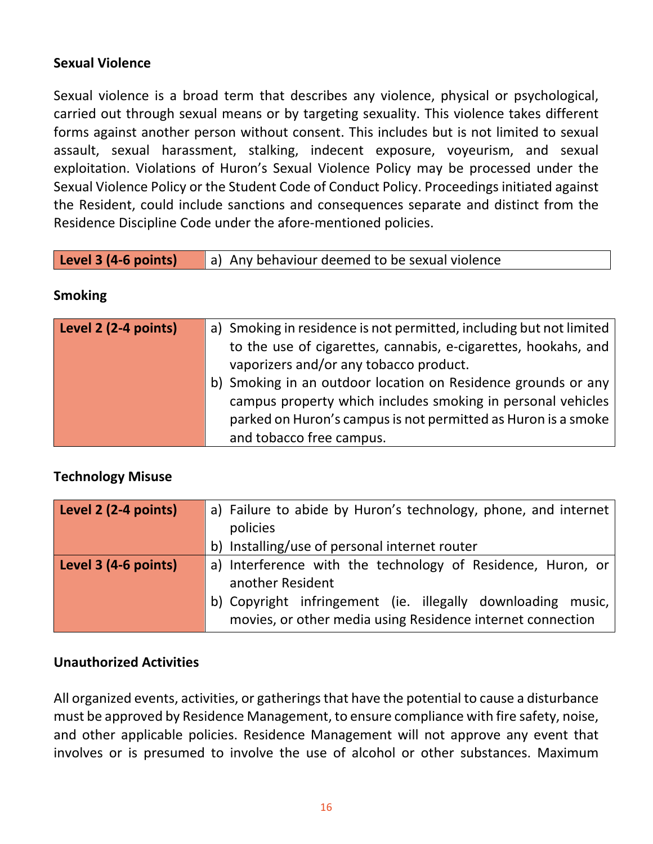## **Sexual Violence**

Sexual violence is a broad term that describes any violence, physical or psychological, carried out through sexual means or by targeting sexuality. This violence takes different forms against another person without consent. This includes but is not limited to sexual assault, sexual harassment, stalking, indecent exposure, voyeurism, and sexual exploitation. Violations of Huron's Sexual Violence Policy may be processed under the Sexual Violence Policy or the Student Code of Conduct Policy. Proceedings initiated against the Resident, could include sanctions and consequences separate and distinct from the Residence Discipline Code under the afore‐mentioned policies.

|  | <b>Level 3 (4-6 points)</b> $\vert$ a) Any behaviour deemed to be sexual violence |
|--|-----------------------------------------------------------------------------------|
|--|-----------------------------------------------------------------------------------|

#### **Smoking**

| Level 2 (2-4 points) | a) Smoking in residence is not permitted, including but not limited<br>to the use of cigarettes, cannabis, e-cigarettes, hookahs, and<br>vaporizers and/or any tobacco product.                                           |
|----------------------|---------------------------------------------------------------------------------------------------------------------------------------------------------------------------------------------------------------------------|
|                      | b) Smoking in an outdoor location on Residence grounds or any<br>campus property which includes smoking in personal vehicles<br>parked on Huron's campus is not permitted as Huron is a smoke<br>and tobacco free campus. |

#### **Technology Misuse**

| Level 2 (2-4 points) | a) Failure to abide by Huron's technology, phone, and internet |
|----------------------|----------------------------------------------------------------|
|                      | policies                                                       |
|                      | b) Installing/use of personal internet router                  |
| Level 3 (4-6 points) | a) Interference with the technology of Residence, Huron, or    |
|                      | another Resident                                               |
|                      | b) Copyright infringement (ie. illegally downloading music,    |
|                      | movies, or other media using Residence internet connection     |

#### **Unauthorized Activities**

All organized events, activities, or gatherings that have the potential to cause a disturbance must be approved by Residence Management, to ensure compliance with fire safety, noise, and other applicable policies. Residence Management will not approve any event that involves or is presumed to involve the use of alcohol or other substances. Maximum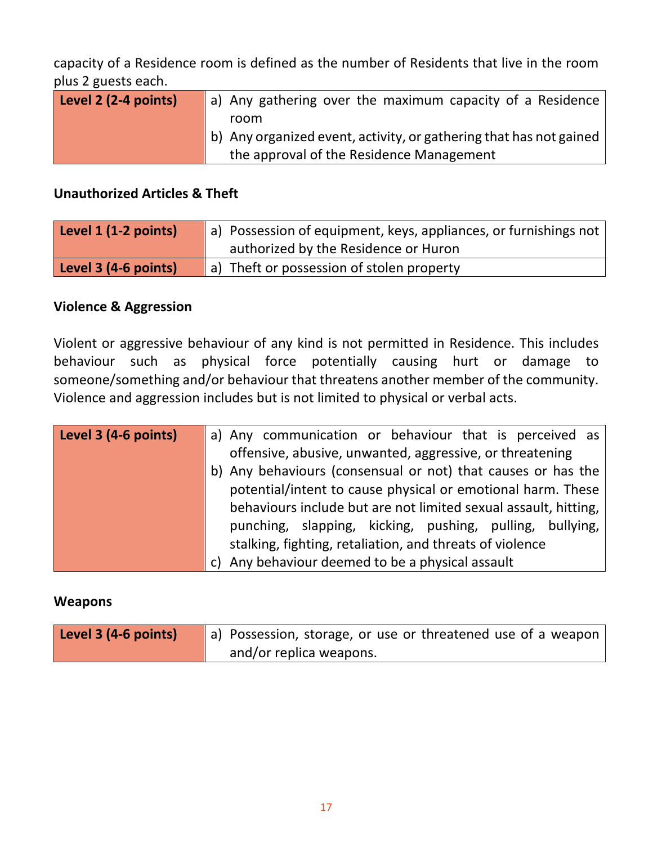capacity of a Residence room is defined as the number of Residents that live in the room plus 2 guests each.

| Level 2 (2-4 points) | a) Any gathering over the maximum capacity of a Residence          |
|----------------------|--------------------------------------------------------------------|
|                      | room                                                               |
|                      | b) Any organized event, activity, or gathering that has not gained |
|                      | the approval of the Residence Management                           |

#### **Unauthorized Articles & Theft**

| Level 1 (1-2 points) | a) Possession of equipment, keys, appliances, or furnishings not |
|----------------------|------------------------------------------------------------------|
|                      | authorized by the Residence or Huron                             |
| Level 3 (4-6 points) | a) Theft or possession of stolen property                        |

## **Violence & Aggression**

Violent or aggressive behaviour of any kind is not permitted in Residence. This includes behaviour such as physical force potentially causing hurt or damage to someone/something and/or behaviour that threatens another member of the community. Violence and aggression includes but is not limited to physical or verbal acts.

| Level 3 (4-6 points) | a) Any communication or behaviour that is perceived as          |
|----------------------|-----------------------------------------------------------------|
|                      | offensive, abusive, unwanted, aggressive, or threatening        |
|                      | b) Any behaviours (consensual or not) that causes or has the    |
|                      | potential/intent to cause physical or emotional harm. These     |
|                      | behaviours include but are not limited sexual assault, hitting, |
|                      | punching, slapping, kicking, pushing, pulling, bullying,        |
|                      | stalking, fighting, retaliation, and threats of violence        |
|                      | c) Any behaviour deemed to be a physical assault                |

#### **Weapons**

| Level 3 (4-6 points) | a) Possession, storage, or use or threatened use of a weapon |
|----------------------|--------------------------------------------------------------|
|                      | and/or replica weapons.                                      |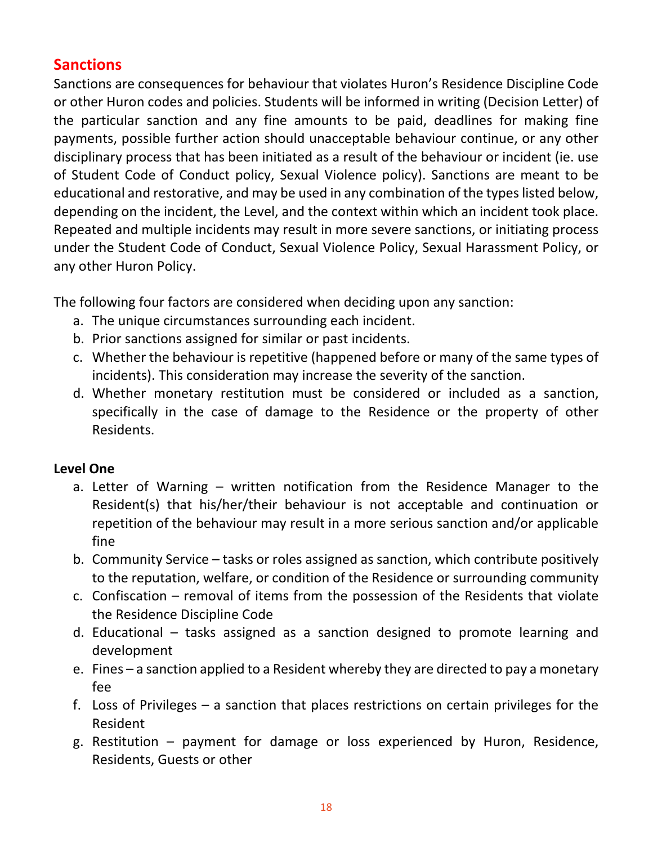# **Sanctions**

Sanctions are consequences for behaviour that violates Huron's Residence Discipline Code or other Huron codes and policies. Students will be informed in writing (Decision Letter) of the particular sanction and any fine amounts to be paid, deadlines for making fine payments, possible further action should unacceptable behaviour continue, or any other disciplinary process that has been initiated as a result of the behaviour or incident (ie. use of Student Code of Conduct policy, Sexual Violence policy). Sanctions are meant to be educational and restorative, and may be used in any combination of the types listed below, depending on the incident, the Level, and the context within which an incident took place. Repeated and multiple incidents may result in more severe sanctions, or initiating process under the Student Code of Conduct, Sexual Violence Policy, Sexual Harassment Policy, or any other Huron Policy.

The following four factors are considered when deciding upon any sanction:

- a. The unique circumstances surrounding each incident.
- b. Prior sanctions assigned for similar or past incidents.
- c. Whether the behaviour is repetitive (happened before or many of the same types of incidents). This consideration may increase the severity of the sanction.
- d. Whether monetary restitution must be considered or included as a sanction, specifically in the case of damage to the Residence or the property of other Residents.

## **Level One**

- a. Letter of Warning written notification from the Residence Manager to the Resident(s) that his/her/their behaviour is not acceptable and continuation or repetition of the behaviour may result in a more serious sanction and/or applicable fine
- b. Community Service tasks or roles assigned as sanction, which contribute positively to the reputation, welfare, or condition of the Residence or surrounding community
- c. Confiscation removal of items from the possession of the Residents that violate the Residence Discipline Code
- d. Educational tasks assigned as a sanction designed to promote learning and development
- e. Fines a sanction applied to a Resident whereby they are directed to pay a monetary fee
- f. Loss of Privileges a sanction that places restrictions on certain privileges for the Resident
- g. Restitution payment for damage or loss experienced by Huron, Residence, Residents, Guests or other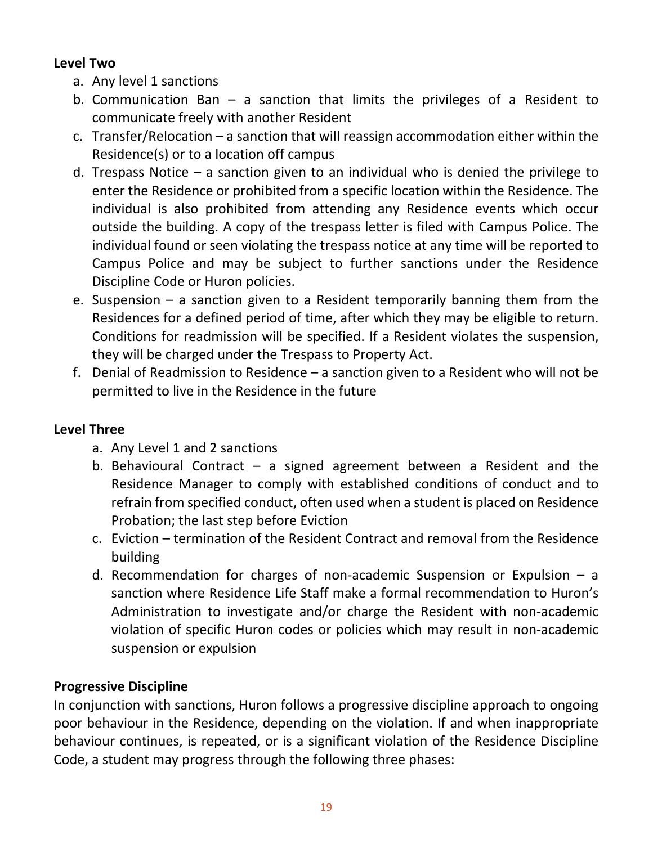## **Level Two**

- a. Any level 1 sanctions
- b. Communication Ban  $-$  a sanction that limits the privileges of a Resident to communicate freely with another Resident
- c. Transfer/Relocation a sanction that will reassign accommodation either within the Residence(s) or to a location off campus
- d. Trespass Notice  $-$  a sanction given to an individual who is denied the privilege to enter the Residence or prohibited from a specific location within the Residence. The individual is also prohibited from attending any Residence events which occur outside the building. A copy of the trespass letter is filed with Campus Police. The individual found or seen violating the trespass notice at any time will be reported to Campus Police and may be subject to further sanctions under the Residence Discipline Code or Huron policies.
- e. Suspension a sanction given to a Resident temporarily banning them from the Residences for a defined period of time, after which they may be eligible to return. Conditions for readmission will be specified. If a Resident violates the suspension, they will be charged under the Trespass to Property Act.
- f. Denial of Readmission to Residence a sanction given to a Resident who will not be permitted to live in the Residence in the future

## **Level Three**

- a. Any Level 1 and 2 sanctions
- b. Behavioural Contract  $-$  a signed agreement between a Resident and the Residence Manager to comply with established conditions of conduct and to refrain from specified conduct, often used when a student is placed on Residence Probation; the last step before Eviction
- c. Eviction termination of the Resident Contract and removal from the Residence building
- d. Recommendation for charges of non-academic Suspension or Expulsion  $-$  a sanction where Residence Life Staff make a formal recommendation to Huron's Administration to investigate and/or charge the Resident with non‐academic violation of specific Huron codes or policies which may result in non‐academic suspension or expulsion

# **Progressive Discipline**

In conjunction with sanctions, Huron follows a progressive discipline approach to ongoing poor behaviour in the Residence, depending on the violation. If and when inappropriate behaviour continues, is repeated, or is a significant violation of the Residence Discipline Code, a student may progress through the following three phases: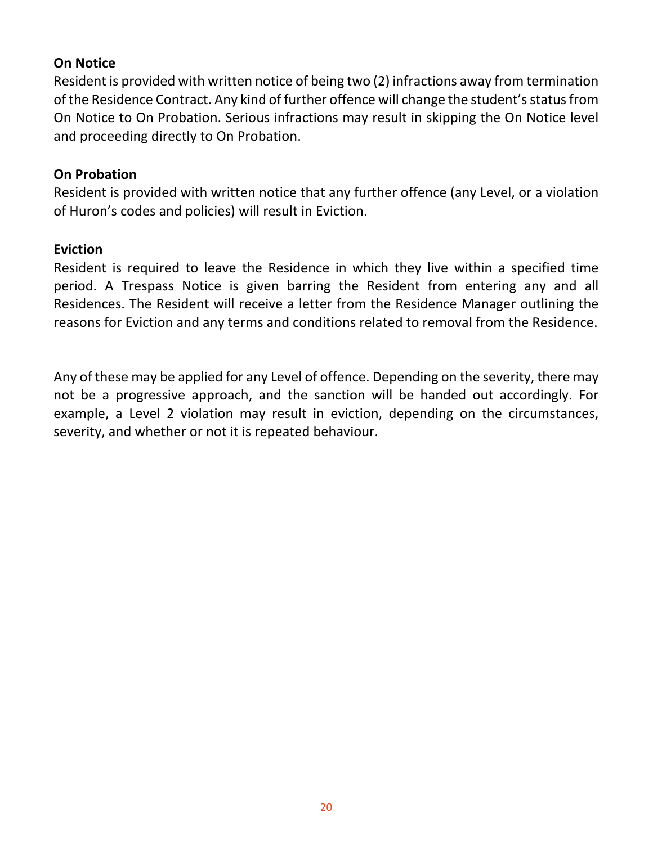#### **On Notice**

Resident is provided with written notice of being two (2) infractions away from termination of the Residence Contract. Any kind of further offence will change the student's status from On Notice to On Probation. Serious infractions may result in skipping the On Notice level and proceeding directly to On Probation.

#### **On Probation**

Resident is provided with written notice that any further offence (any Level, or a violation of Huron's codes and policies) will result in Eviction.

#### **Eviction**

Resident is required to leave the Residence in which they live within a specified time period. A Trespass Notice is given barring the Resident from entering any and all Residences. The Resident will receive a letter from the Residence Manager outlining the reasons for Eviction and any terms and conditions related to removal from the Residence.

Any of these may be applied for any Level of offence. Depending on the severity, there may not be a progressive approach, and the sanction will be handed out accordingly. For example, a Level 2 violation may result in eviction, depending on the circumstances, severity, and whether or not it is repeated behaviour.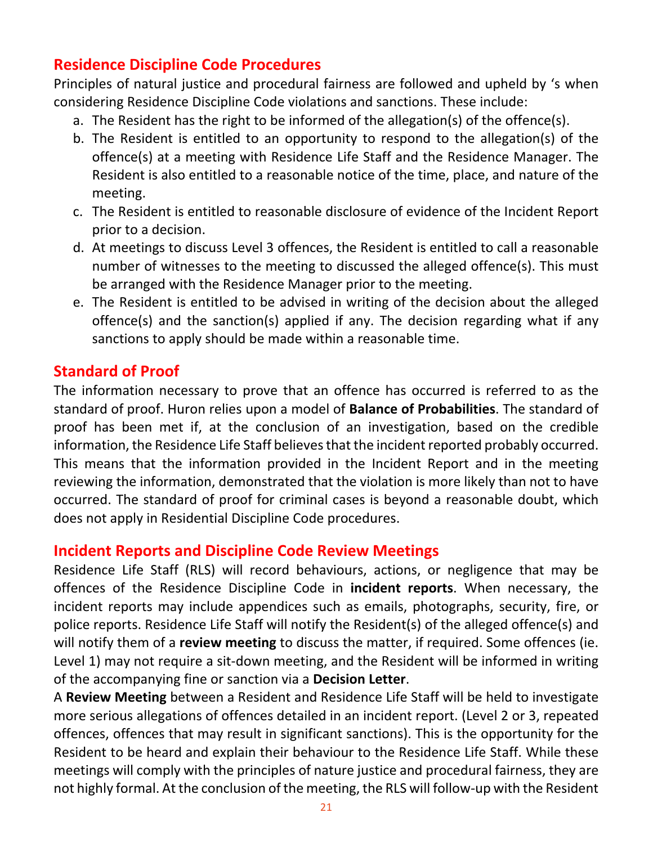# **Residence Discipline Code Procedures**

Principles of natural justice and procedural fairness are followed and upheld by 's when considering Residence Discipline Code violations and sanctions. These include:

- a. The Resident has the right to be informed of the allegation(s) of the offence(s).
- b. The Resident is entitled to an opportunity to respond to the allegation(s) of the offence(s) at a meeting with Residence Life Staff and the Residence Manager. The Resident is also entitled to a reasonable notice of the time, place, and nature of the meeting.
- c. The Resident is entitled to reasonable disclosure of evidence of the Incident Report prior to a decision.
- d. At meetings to discuss Level 3 offences, the Resident is entitled to call a reasonable number of witnesses to the meeting to discussed the alleged offence(s). This must be arranged with the Residence Manager prior to the meeting.
- e. The Resident is entitled to be advised in writing of the decision about the alleged offence(s) and the sanction(s) applied if any. The decision regarding what if any sanctions to apply should be made within a reasonable time.

# **Standard of Proof**

The information necessary to prove that an offence has occurred is referred to as the standard of proof. Huron relies upon a model of **Balance of Probabilities**. The standard of proof has been met if, at the conclusion of an investigation, based on the credible information, the Residence Life Staff believes that the incident reported probably occurred. This means that the information provided in the Incident Report and in the meeting reviewing the information, demonstrated that the violation is more likely than not to have occurred. The standard of proof for criminal cases is beyond a reasonable doubt, which does not apply in Residential Discipline Code procedures.

# **Incident Reports and Discipline Code Review Meetings**

Residence Life Staff (RLS) will record behaviours, actions, or negligence that may be offences of the Residence Discipline Code in **incident reports**. When necessary, the incident reports may include appendices such as emails, photographs, security, fire, or police reports. Residence Life Staff will notify the Resident(s) of the alleged offence(s) and will notify them of a **review meeting** to discuss the matter, if required. Some offences (ie. Level 1) may not require a sit-down meeting, and the Resident will be informed in writing of the accompanying fine or sanction via a **Decision Letter**.

A **Review Meeting** between a Resident and Residence Life Staff will be held to investigate more serious allegations of offences detailed in an incident report. (Level 2 or 3, repeated offences, offences that may result in significant sanctions). This is the opportunity for the Resident to be heard and explain their behaviour to the Residence Life Staff. While these meetings will comply with the principles of nature justice and procedural fairness, they are not highly formal. At the conclusion of the meeting, the RLS will follow‐up with the Resident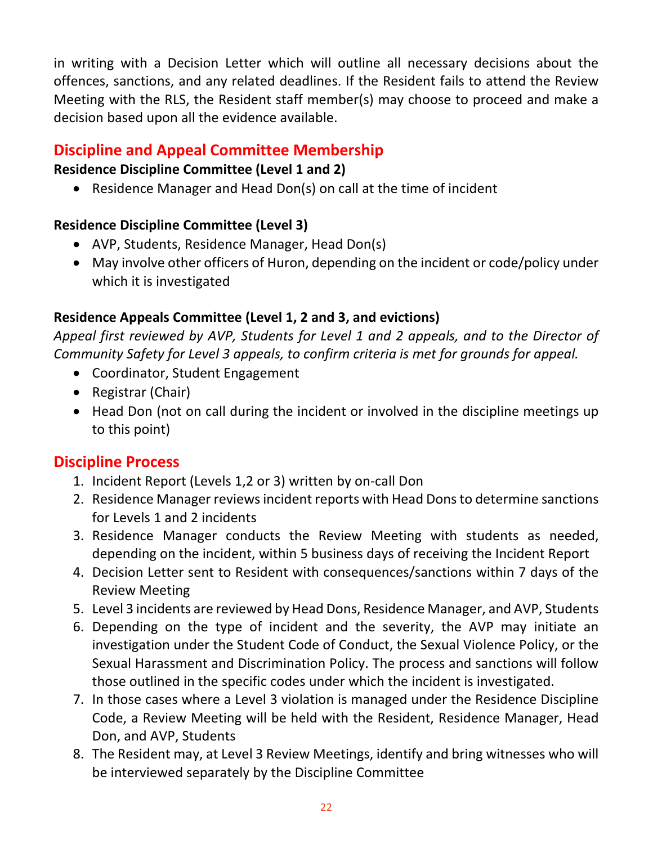in writing with a Decision Letter which will outline all necessary decisions about the offences, sanctions, and any related deadlines. If the Resident fails to attend the Review Meeting with the RLS, the Resident staff member(s) may choose to proceed and make a decision based upon all the evidence available.

# **Discipline and Appeal Committee Membership**

## **Residence Discipline Committee (Level 1 and 2)**

Residence Manager and Head Don(s) on call at the time of incident

# **Residence Discipline Committee (Level 3)**

- AVP, Students, Residence Manager, Head Don(s)
- May involve other officers of Huron, depending on the incident or code/policy under which it is investigated

# **Residence Appeals Committee (Level 1, 2 and 3, and evictions)**

*Appeal first reviewed by AVP, Students for Level 1 and 2 appeals, and to the Director of Community Safety for Level 3 appeals, to confirm criteria is met for grounds for appeal.* 

- Coordinator, Student Engagement
- Registrar (Chair)
- Head Don (not on call during the incident or involved in the discipline meetings up to this point)

# **Discipline Process**

- 1. Incident Report (Levels 1,2 or 3) written by on‐call Don
- 2. Residence Manager reviews incident reports with Head Dons to determine sanctions for Levels 1 and 2 incidents
- 3. Residence Manager conducts the Review Meeting with students as needed, depending on the incident, within 5 business days of receiving the Incident Report
- 4. Decision Letter sent to Resident with consequences/sanctions within 7 days of the Review Meeting
- 5. Level 3 incidents are reviewed by Head Dons, Residence Manager, and AVP, Students
- 6. Depending on the type of incident and the severity, the AVP may initiate an investigation under the Student Code of Conduct, the Sexual Violence Policy, or the Sexual Harassment and Discrimination Policy. The process and sanctions will follow those outlined in the specific codes under which the incident is investigated.
- 7. In those cases where a Level 3 violation is managed under the Residence Discipline Code, a Review Meeting will be held with the Resident, Residence Manager, Head Don, and AVP, Students
- 8. The Resident may, at Level 3 Review Meetings, identify and bring witnesses who will be interviewed separately by the Discipline Committee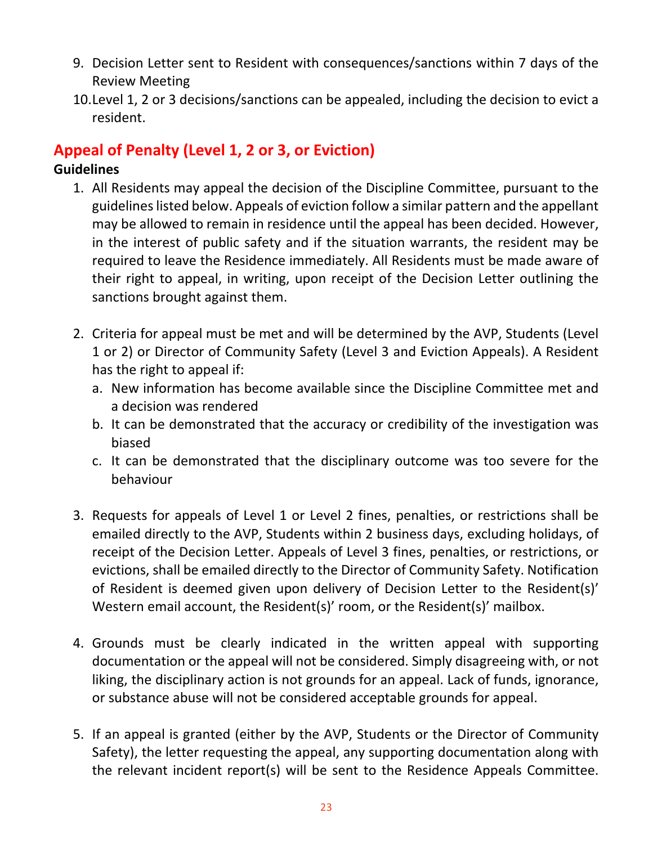- 9. Decision Letter sent to Resident with consequences/sanctions within 7 days of the Review Meeting
- 10.Level 1, 2 or 3 decisions/sanctions can be appealed, including the decision to evict a resident.

# **Appeal of Penalty (Level 1, 2 or 3, or Eviction)**

## **Guidelines**

- 1. All Residents may appeal the decision of the Discipline Committee, pursuant to the guidelines listed below. Appeals of eviction follow a similar pattern and the appellant may be allowed to remain in residence until the appeal has been decided. However, in the interest of public safety and if the situation warrants, the resident may be required to leave the Residence immediately. All Residents must be made aware of their right to appeal, in writing, upon receipt of the Decision Letter outlining the sanctions brought against them.
- 2. Criteria for appeal must be met and will be determined by the AVP, Students (Level 1 or 2) or Director of Community Safety (Level 3 and Eviction Appeals). A Resident has the right to appeal if:
	- a. New information has become available since the Discipline Committee met and a decision was rendered
	- b. It can be demonstrated that the accuracy or credibility of the investigation was biased
	- c. It can be demonstrated that the disciplinary outcome was too severe for the behaviour
- 3. Requests for appeals of Level 1 or Level 2 fines, penalties, or restrictions shall be emailed directly to the AVP, Students within 2 business days, excluding holidays, of receipt of the Decision Letter. Appeals of Level 3 fines, penalties, or restrictions, or evictions, shall be emailed directly to the Director of Community Safety. Notification of Resident is deemed given upon delivery of Decision Letter to the Resident(s)' Western email account, the Resident(s)' room, or the Resident(s)' mailbox.
- 4. Grounds must be clearly indicated in the written appeal with supporting documentation or the appeal will not be considered. Simply disagreeing with, or not liking, the disciplinary action is not grounds for an appeal. Lack of funds, ignorance, or substance abuse will not be considered acceptable grounds for appeal.
- 5. If an appeal is granted (either by the AVP, Students or the Director of Community Safety), the letter requesting the appeal, any supporting documentation along with the relevant incident report(s) will be sent to the Residence Appeals Committee.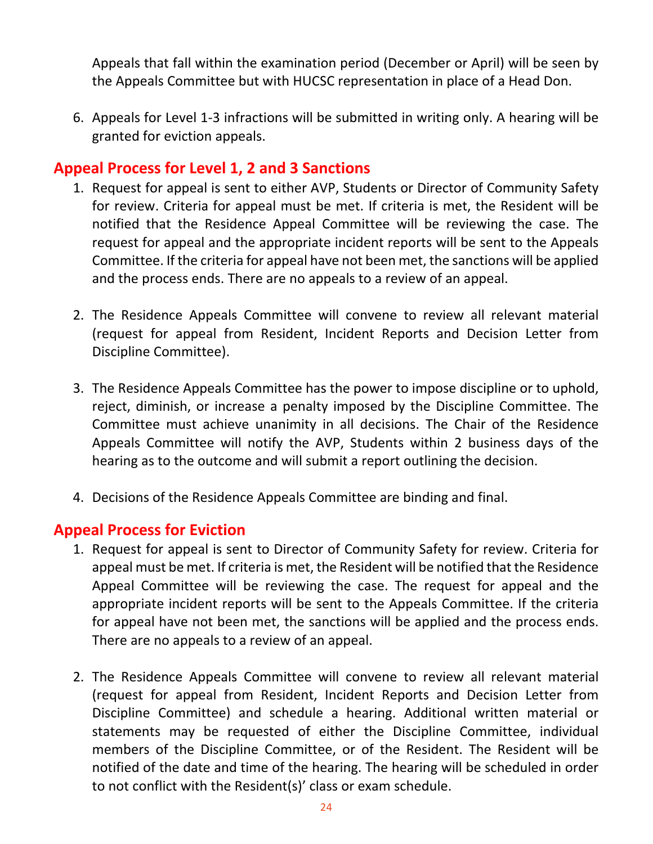Appeals that fall within the examination period (December or April) will be seen by the Appeals Committee but with HUCSC representation in place of a Head Don.

6. Appeals for Level 1‐3 infractions will be submitted in writing only. A hearing will be granted for eviction appeals.

## **Appeal Process for Level 1, 2 and 3 Sanctions**

- 1. Request for appeal is sent to either AVP, Students or Director of Community Safety for review. Criteria for appeal must be met. If criteria is met, the Resident will be notified that the Residence Appeal Committee will be reviewing the case. The request for appeal and the appropriate incident reports will be sent to the Appeals Committee. If the criteria for appeal have not been met, the sanctions will be applied and the process ends. There are no appeals to a review of an appeal.
- 2. The Residence Appeals Committee will convene to review all relevant material (request for appeal from Resident, Incident Reports and Decision Letter from Discipline Committee).
- 3. The Residence Appeals Committee has the power to impose discipline or to uphold, reject, diminish, or increase a penalty imposed by the Discipline Committee. The Committee must achieve unanimity in all decisions. The Chair of the Residence Appeals Committee will notify the AVP, Students within 2 business days of the hearing as to the outcome and will submit a report outlining the decision.
- 4. Decisions of the Residence Appeals Committee are binding and final.

## **Appeal Process for Eviction**

- 1. Request for appeal is sent to Director of Community Safety for review. Criteria for appeal must be met. If criteria is met, the Resident will be notified that the Residence Appeal Committee will be reviewing the case. The request for appeal and the appropriate incident reports will be sent to the Appeals Committee. If the criteria for appeal have not been met, the sanctions will be applied and the process ends. There are no appeals to a review of an appeal.
- 2. The Residence Appeals Committee will convene to review all relevant material (request for appeal from Resident, Incident Reports and Decision Letter from Discipline Committee) and schedule a hearing. Additional written material or statements may be requested of either the Discipline Committee, individual members of the Discipline Committee, or of the Resident. The Resident will be notified of the date and time of the hearing. The hearing will be scheduled in order to not conflict with the Resident(s)' class or exam schedule.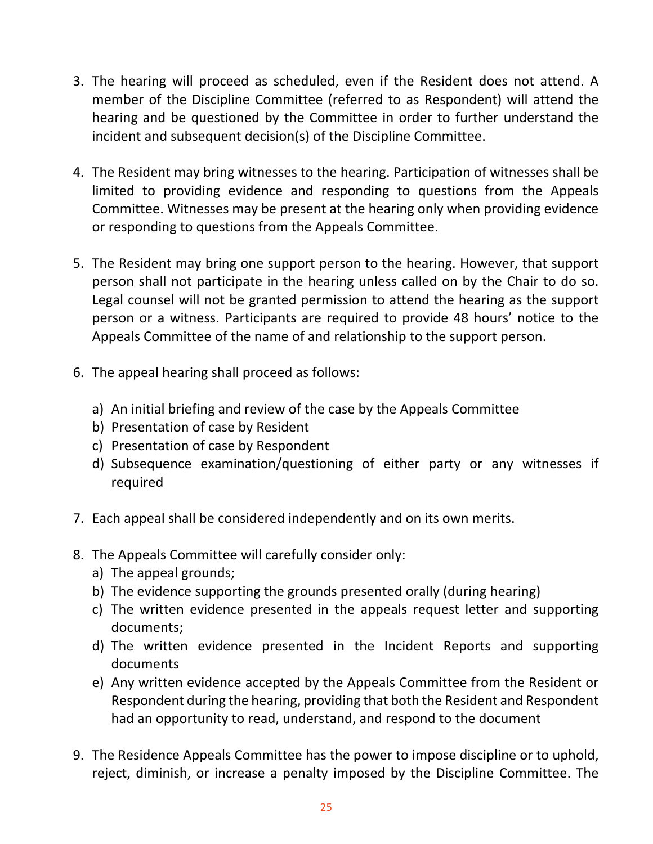- 3. The hearing will proceed as scheduled, even if the Resident does not attend. A member of the Discipline Committee (referred to as Respondent) will attend the hearing and be questioned by the Committee in order to further understand the incident and subsequent decision(s) of the Discipline Committee.
- 4. The Resident may bring witnesses to the hearing. Participation of witnesses shall be limited to providing evidence and responding to questions from the Appeals Committee. Witnesses may be present at the hearing only when providing evidence or responding to questions from the Appeals Committee.
- 5. The Resident may bring one support person to the hearing. However, that support person shall not participate in the hearing unless called on by the Chair to do so. Legal counsel will not be granted permission to attend the hearing as the support person or a witness. Participants are required to provide 48 hours' notice to the Appeals Committee of the name of and relationship to the support person.
- 6. The appeal hearing shall proceed as follows:
	- a) An initial briefing and review of the case by the Appeals Committee
	- b) Presentation of case by Resident
	- c) Presentation of case by Respondent
	- d) Subsequence examination/questioning of either party or any witnesses if required
- 7. Each appeal shall be considered independently and on its own merits.
- 8. The Appeals Committee will carefully consider only:
	- a) The appeal grounds;
	- b) The evidence supporting the grounds presented orally (during hearing)
	- c) The written evidence presented in the appeals request letter and supporting documents;
	- d) The written evidence presented in the Incident Reports and supporting documents
	- e) Any written evidence accepted by the Appeals Committee from the Resident or Respondent during the hearing, providing that both the Resident and Respondent had an opportunity to read, understand, and respond to the document
- 9. The Residence Appeals Committee has the power to impose discipline or to uphold, reject, diminish, or increase a penalty imposed by the Discipline Committee. The